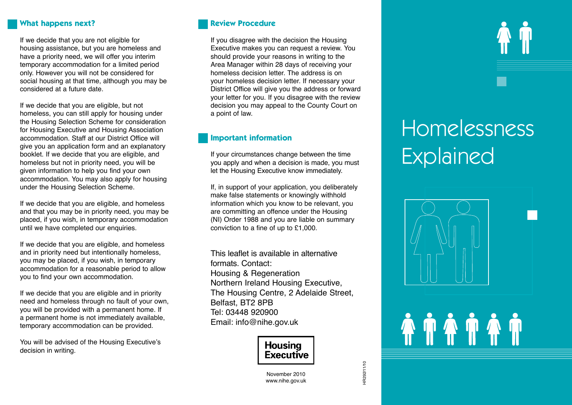## **What happens next?**

If we decide that you are not eligible for housing assistance, but you are homeless and have a priority need, we will offer you interim temporary accommodation for a limited period only. However you will not be considered for social housing at that time, although you may be considered at a future date.

If we decide that you are eligible, but not homeless, you can still apply for housing under the Housing Selection Scheme for consideration for Housing Executive and Housing Association accommodation. Staff at our District Office will give you an application form and an explanatory booklet. If we decide that you are eligible, and homeless but not in priority need, you will be given information to help you find your own accommodation. You may also apply for housing under the Housing Selection Scheme.

If we decide that you are eligible, and homeless and that you may be in priority need, you may be placed, if you wish, in temporary accommodation until we have completed our enquiries.

If we decide that you are eligible, and homeless and in priority need but intentionally homeless, you may be placed, if you wish, in temporary accommodation for a reasonable period to allow you to find your own accommodation.

If we decide that you are eligible and in priority need and homeless through no fault of your own, you will be provided with a permanent home. If a permanent home is not immediately available, temporary accommodation can be provided.

You will be advised of the Housing Executive's decision in writing.

# **Review Procedure**

If you disagree with the decision the Housing Executive makes you can request a review. You should provide your reasons in writing to the Area Manager within 28 days of receiving your homeless decision letter. The address is on your homeless decision letter. If necessary your District Office will give you the address or forward your letter for you. If you disagree with the review decision you may appeal to the County Court on a point of law.

# **Important information**

 If your circumstances change between the time you apply and when a decision is made, you must let the Housing Executive know immediately.

If, in support of your application, you deliberately make false statements or knowingly withhold information which you know to be relevant, you are committing an offence under the Housing (NI) Order 1988 and you are liable on summary conviction to a fine of up to £1,000.

 This leaflet is available in alternative formats. Contact: Housing & Regeneration Northern Ireland Housing Executive, The Housing Centre, 2 Adelaide Street, Belfast, BT2 8PB Tel: 03448 920900 Email: info@nihe.gov.uk



November 2010 www.nihe.gov.uk

# Homelessness Explained